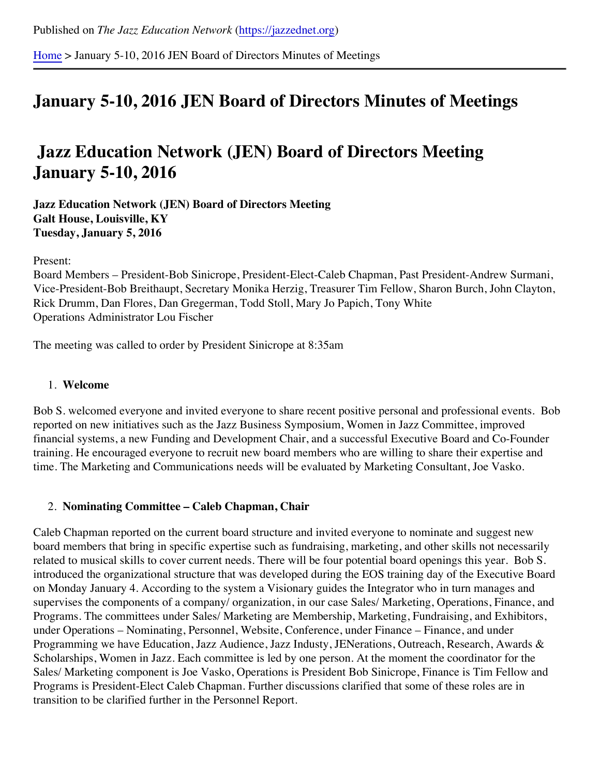[Home](https://jazzednet.org/) > January 5-10, 2016 JEN Board of Directors Minutes of Meetings

# **January 5-10, 2016 JEN Board of Directors Minutes of Meetings**

# **Jazz Education Network (JEN) Board of Directors Meeting January 5-10, 2016**

#### **Jazz Education Network (JEN) Board of Directors Meeting Galt House, Louisville, KY Tuesday, January 5, 2016**

Present:

Board Members – President-Bob Sinicrope, President-Elect-Caleb Chapman, Past President-Andrew Surmani, Vice-President-Bob Breithaupt, Secretary Monika Herzig, Treasurer Tim Fellow, Sharon Burch, John Clayton, Rick Drumm, Dan Flores, Dan Gregerman, Todd Stoll, Mary Jo Papich, Tony White Operations Administrator Lou Fischer

The meeting was called to order by President Sinicrope at 8:35am

#### 1. **Welcome**

Bob S. welcomed everyone and invited everyone to share recent positive personal and professional events. Bob reported on new initiatives such as the Jazz Business Symposium, Women in Jazz Committee, improved financial systems, a new Funding and Development Chair, and a successful Executive Board and Co-Founder training. He encouraged everyone to recruit new board members who are willing to share their expertise and time. The Marketing and Communications needs will be evaluated by Marketing Consultant, Joe Vasko.

## 2. **Nominating Committee – Caleb Chapman, Chair**

Caleb Chapman reported on the current board structure and invited everyone to nominate and suggest new board members that bring in specific expertise such as fundraising, marketing, and other skills not necessarily related to musical skills to cover current needs. There will be four potential board openings this year. Bob S. introduced the organizational structure that was developed during the EOS training day of the Executive Board on Monday January 4. According to the system a Visionary guides the Integrator who in turn manages and supervises the components of a company/ organization, in our case Sales/ Marketing, Operations, Finance, and Programs. The committees under Sales/ Marketing are Membership, Marketing, Fundraising, and Exhibitors, under Operations – Nominating, Personnel, Website, Conference, under Finance – Finance, and under Programming we have Education, Jazz Audience, Jazz Industy, JENerations, Outreach, Research, Awards & Scholarships, Women in Jazz. Each committee is led by one person. At the moment the coordinator for the Sales/ Marketing component is Joe Vasko, Operations is President Bob Sinicrope, Finance is Tim Fellow and Programs is President-Elect Caleb Chapman. Further discussions clarified that some of these roles are in transition to be clarified further in the Personnel Report.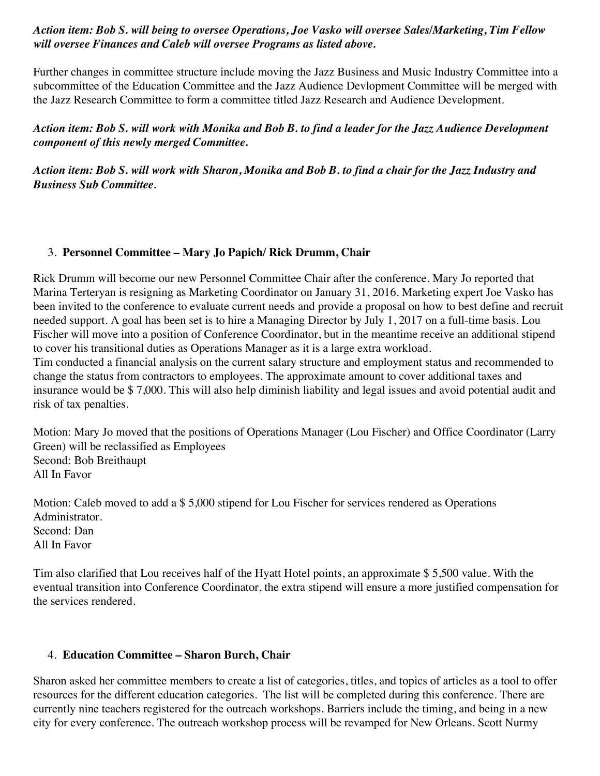## *Action item: Bob S. will being to oversee Operations, Joe Vasko will oversee Sales/Marketing, Tim Fellow will oversee Finances and Caleb will oversee Programs as listed above.*

Further changes in committee structure include moving the Jazz Business and Music Industry Committee into a subcommittee of the Education Committee and the Jazz Audience Devlopment Committee will be merged with the Jazz Research Committee to form a committee titled Jazz Research and Audience Development.

*Action item: Bob S. will work with Monika and Bob B. to find a leader for the Jazz Audience Development component of this newly merged Committee.*

*Action item: Bob S. will work with Sharon, Monika and Bob B. to find a chair for the Jazz Industry and Business Sub Committee.*

## 3. **Personnel Committee – Mary Jo Papich/ Rick Drumm, Chair**

Rick Drumm will become our new Personnel Committee Chair after the conference. Mary Jo reported that Marina Terteryan is resigning as Marketing Coordinator on January 31, 2016. Marketing expert Joe Vasko has been invited to the conference to evaluate current needs and provide a proposal on how to best define and recruit needed support. A goal has been set is to hire a Managing Director by July 1, 2017 on a full-time basis. Lou Fischer will move into a position of Conference Coordinator, but in the meantime receive an additional stipend to cover his transitional duties as Operations Manager as it is a large extra workload.

Tim conducted a financial analysis on the current salary structure and employment status and recommended to change the status from contractors to employees. The approximate amount to cover additional taxes and insurance would be \$ 7,000. This will also help diminish liability and legal issues and avoid potential audit and risk of tax penalties.

Motion: Mary Jo moved that the positions of Operations Manager (Lou Fischer) and Office Coordinator (Larry Green) will be reclassified as Employees Second: Bob Breithaupt All In Favor

Motion: Caleb moved to add a \$ 5,000 stipend for Lou Fischer for services rendered as Operations Administrator. Second: Dan All In Favor

Tim also clarified that Lou receives half of the Hyatt Hotel points, an approximate \$ 5,500 value. With the eventual transition into Conference Coordinator, the extra stipend will ensure a more justified compensation for the services rendered.

# 4. **Education Committee – Sharon Burch, Chair**

Sharon asked her committee members to create a list of categories, titles, and topics of articles as a tool to offer resources for the different education categories. The list will be completed during this conference. There are currently nine teachers registered for the outreach workshops. Barriers include the timing, and being in a new city for every conference. The outreach workshop process will be revamped for New Orleans. Scott Nurmy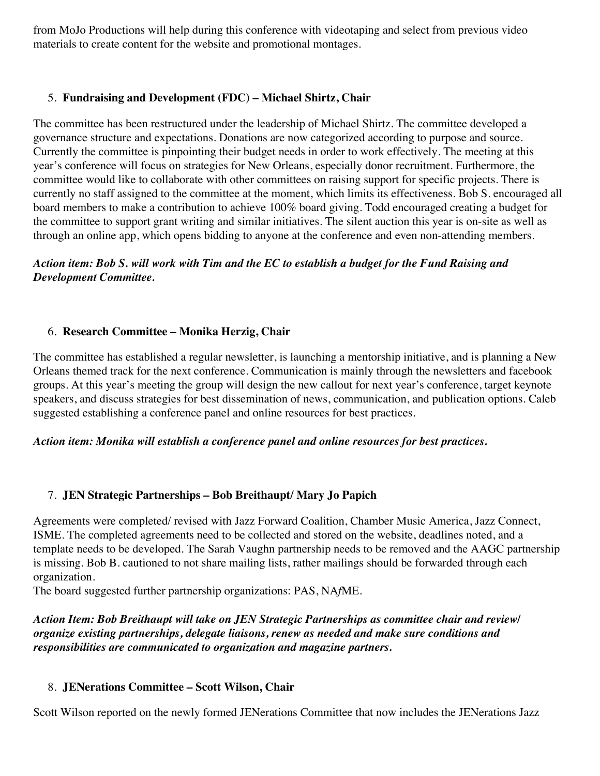from MoJo Productions will help during this conference with videotaping and select from previous video materials to create content for the website and promotional montages.

## 5. **Fundraising and Development (FDC) – Michael Shirtz, Chair**

The committee has been restructured under the leadership of Michael Shirtz. The committee developed a governance structure and expectations. Donations are now categorized according to purpose and source. Currently the committee is pinpointing their budget needs in order to work effectively. The meeting at this year's conference will focus on strategies for New Orleans, especially donor recruitment. Furthermore, the committee would like to collaborate with other committees on raising support for specific projects. There is currently no staff assigned to the committee at the moment, which limits its effectiveness. Bob S. encouraged all board members to make a contribution to achieve 100% board giving. Todd encouraged creating a budget for the committee to support grant writing and similar initiatives. The silent auction this year is on-site as well as through an online app, which opens bidding to anyone at the conference and even non-attending members.

# *Action item: Bob S. will work with Tim and the EC to establish a budget for the Fund Raising and Development Committee.*

#### 6. **Research Committee – Monika Herzig, Chair**

The committee has established a regular newsletter, is launching a mentorship initiative, and is planning a New Orleans themed track for the next conference. Communication is mainly through the newsletters and facebook groups. At this year's meeting the group will design the new callout for next year's conference, target keynote speakers, and discuss strategies for best dissemination of news, communication, and publication options. Caleb suggested establishing a conference panel and online resources for best practices.

#### *Action item: Monika will establish a conference panel and online resources for best practices.*

#### 7. **JEN Strategic Partnerships – Bob Breithaupt/ Mary Jo Papich**

Agreements were completed/ revised with Jazz Forward Coalition, Chamber Music America, Jazz Connect, ISME. The completed agreements need to be collected and stored on the website, deadlines noted, and a template needs to be developed. The Sarah Vaughn partnership needs to be removed and the AAGC partnership is missing. Bob B. cautioned to not share mailing lists, rather mailings should be forwarded through each organization.

The board suggested further partnership organizations: PAS, NA*f*ME.

*Action Item: Bob Breithaupt will take on JEN Strategic Partnerships as committee chair and review/ organize existing partnerships, delegate liaisons, renew as needed and make sure conditions and responsibilities are communicated to organization and magazine partners.*

#### 8. **JENerations Committee – Scott Wilson, Chair**

Scott Wilson reported on the newly formed JENerations Committee that now includes the JENerations Jazz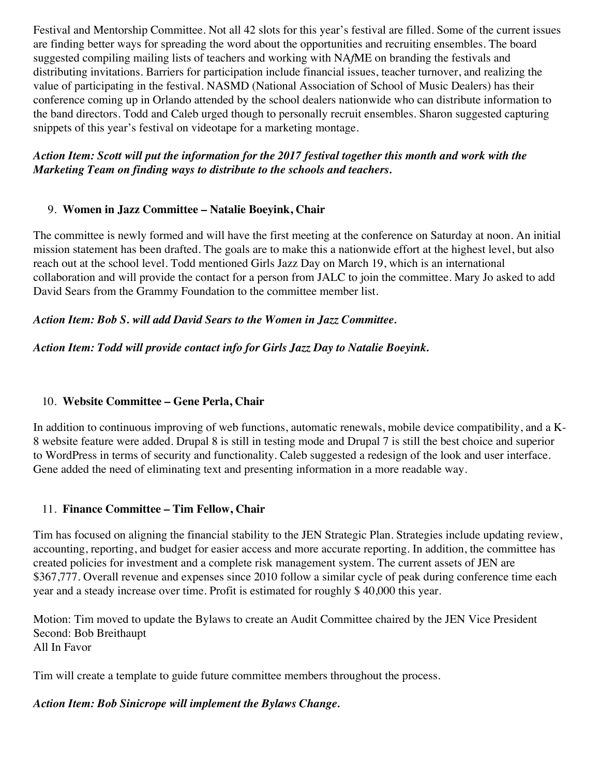Festival and Mentorship Committee. Not all 42 slots for this year's festival are filled. Some of the current issues are finding better ways for spreading the word about the opportunities and recruiting ensembles. The board suggested compiling mailing lists of teachers and working with NA*f*ME on branding the festivals and distributing invitations. Barriers for participation include financial issues, teacher turnover, and realizing the value of participating in the festival. NASMD (National Association of School of Music Dealers) has their conference coming up in Orlando attended by the school dealers nationwide who can distribute information to the band directors. Todd and Caleb urged though to personally recruit ensembles. Sharon suggested capturing snippets of this year's festival on videotape for a marketing montage.

# *Action Item: Scott will put the information for the 2017 festival together this month and work with the Marketing Team on finding ways to distribute to the schools and teachers.*

# 9. **Women in Jazz Committee – Natalie Boeyink, Chair**

The committee is newly formed and will have the first meeting at the conference on Saturday at noon. An initial mission statement has been drafted. The goals are to make this a nationwide effort at the highest level, but also reach out at the school level. Todd mentioned Girls Jazz Day on March 19, which is an international collaboration and will provide the contact for a person from JALC to join the committee. Mary Jo asked to add David Sears from the Grammy Foundation to the committee member list.

## *Action Item: Bob S. will add David Sears to the Women in Jazz Committee.*

# *Action Item: Todd will provide contact info for Girls Jazz Day to Natalie Boeyink.*

# 10. **Website Committee – Gene Perla, Chair**

In addition to continuous improving of web functions, automatic renewals, mobile device compatibility, and a K-8 website feature were added. Drupal 8 is still in testing mode and Drupal 7 is still the best choice and superior to WordPress in terms of security and functionality. Caleb suggested a redesign of the look and user interface. Gene added the need of eliminating text and presenting information in a more readable way.

## 11. **Finance Committee – Tim Fellow, Chair**

Tim has focused on aligning the financial stability to the JEN Strategic Plan. Strategies include updating review, accounting, reporting, and budget for easier access and more accurate reporting. In addition, the committee has created policies for investment and a complete risk management system. The current assets of JEN are \$367,777. Overall revenue and expenses since 2010 follow a similar cycle of peak during conference time each year and a steady increase over time. Profit is estimated for roughly \$ 40,000 this year.

Motion: Tim moved to update the Bylaws to create an Audit Committee chaired by the JEN Vice President Second: Bob Breithaupt All In Favor

Tim will create a template to guide future committee members throughout the process.

## *Action Item: Bob Sinicrope will implement the Bylaws Change.*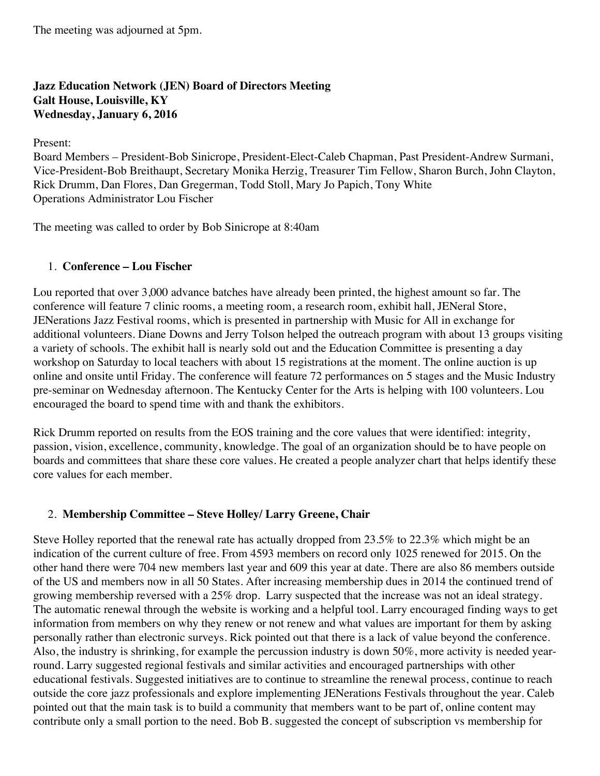The meeting was adjourned at 5pm.

# **Jazz Education Network (JEN) Board of Directors Meeting Galt House, Louisville, KY Wednesday, January 6, 2016**

Present:

Board Members – President-Bob Sinicrope, President-Elect-Caleb Chapman, Past President-Andrew Surmani, Vice-President-Bob Breithaupt, Secretary Monika Herzig, Treasurer Tim Fellow, Sharon Burch, John Clayton, Rick Drumm, Dan Flores, Dan Gregerman, Todd Stoll, Mary Jo Papich, Tony White Operations Administrator Lou Fischer

The meeting was called to order by Bob Sinicrope at 8:40am

# 1. **Conference – Lou Fischer**

Lou reported that over 3,000 advance batches have already been printed, the highest amount so far. The conference will feature 7 clinic rooms, a meeting room, a research room, exhibit hall, JENeral Store, JENerations Jazz Festival rooms, which is presented in partnership with Music for All in exchange for additional volunteers. Diane Downs and Jerry Tolson helped the outreach program with about 13 groups visiting a variety of schools. The exhibit hall is nearly sold out and the Education Committee is presenting a day workshop on Saturday to local teachers with about 15 registrations at the moment. The online auction is up online and onsite until Friday. The conference will feature 72 performances on 5 stages and the Music Industry pre-seminar on Wednesday afternoon. The Kentucky Center for the Arts is helping with 100 volunteers. Lou encouraged the board to spend time with and thank the exhibitors.

Rick Drumm reported on results from the EOS training and the core values that were identified: integrity, passion, vision, excellence, community, knowledge. The goal of an organization should be to have people on boards and committees that share these core values. He created a people analyzer chart that helps identify these core values for each member.

## 2. **Membership Committee – Steve Holley/ Larry Greene, Chair**

Steve Holley reported that the renewal rate has actually dropped from 23.5% to 22.3% which might be an indication of the current culture of free. From 4593 members on record only 1025 renewed for 2015. On the other hand there were 704 new members last year and 609 this year at date. There are also 86 members outside of the US and members now in all 50 States. After increasing membership dues in 2014 the continued trend of growing membership reversed with a 25% drop. Larry suspected that the increase was not an ideal strategy. The automatic renewal through the website is working and a helpful tool. Larry encouraged finding ways to get information from members on why they renew or not renew and what values are important for them by asking personally rather than electronic surveys. Rick pointed out that there is a lack of value beyond the conference. Also, the industry is shrinking, for example the percussion industry is down 50%, more activity is needed yearround. Larry suggested regional festivals and similar activities and encouraged partnerships with other educational festivals. Suggested initiatives are to continue to streamline the renewal process, continue to reach outside the core jazz professionals and explore implementing JENerations Festivals throughout the year. Caleb pointed out that the main task is to build a community that members want to be part of, online content may contribute only a small portion to the need. Bob B. suggested the concept of subscription vs membership for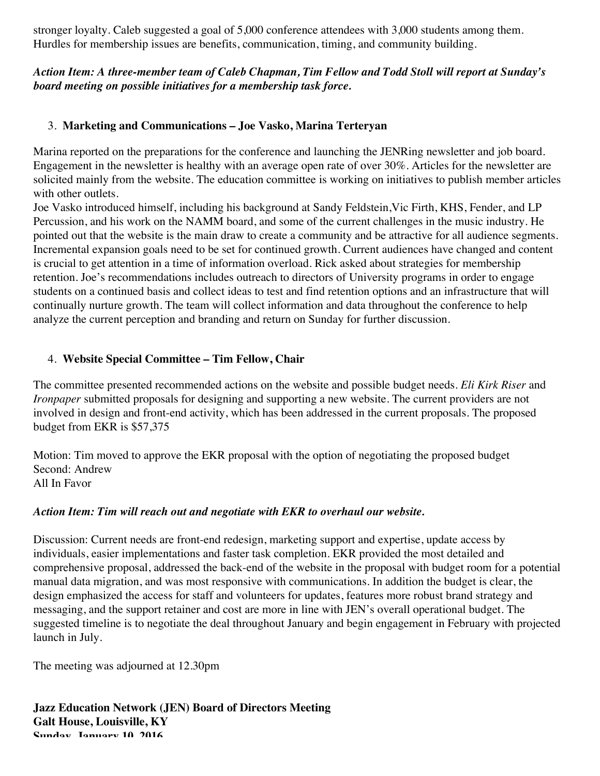stronger loyalty. Caleb suggested a goal of 5,000 conference attendees with 3,000 students among them. Hurdles for membership issues are benefits, communication, timing, and community building.

# *Action Item: A three-member team of Caleb Chapman, Tim Fellow and Todd Stoll will report at Sunday's board meeting on possible initiatives for a membership task force.*

## 3. **Marketing and Communications – Joe Vasko, Marina Terteryan**

Marina reported on the preparations for the conference and launching the JENRing newsletter and job board. Engagement in the newsletter is healthy with an average open rate of over 30%. Articles for the newsletter are solicited mainly from the website. The education committee is working on initiatives to publish member articles with other outlets.

Joe Vasko introduced himself, including his background at Sandy Feldstein,Vic Firth, KHS, Fender, and LP Percussion, and his work on the NAMM board, and some of the current challenges in the music industry. He pointed out that the website is the main draw to create a community and be attractive for all audience segments. Incremental expansion goals need to be set for continued growth. Current audiences have changed and content is crucial to get attention in a time of information overload. Rick asked about strategies for membership retention. Joe's recommendations includes outreach to directors of University programs in order to engage students on a continued basis and collect ideas to test and find retention options and an infrastructure that will continually nurture growth. The team will collect information and data throughout the conference to help analyze the current perception and branding and return on Sunday for further discussion.

## 4. **Website Special Committee – Tim Fellow, Chair**

The committee presented recommended actions on the website and possible budget needs. *Eli Kirk Riser* and *Ironpaper* submitted proposals for designing and supporting a new website. The current providers are not involved in design and front-end activity, which has been addressed in the current proposals. The proposed budget from EKR is \$57,375

Motion: Tim moved to approve the EKR proposal with the option of negotiating the proposed budget Second: Andrew All In Favor

## *Action Item: Tim will reach out and negotiate with EKR to overhaul our website.*

Discussion: Current needs are front-end redesign, marketing support and expertise, update access by individuals, easier implementations and faster task completion. EKR provided the most detailed and comprehensive proposal, addressed the back-end of the website in the proposal with budget room for a potential manual data migration, and was most responsive with communications. In addition the budget is clear, the design emphasized the access for staff and volunteers for updates, features more robust brand strategy and messaging, and the support retainer and cost are more in line with JEN's overall operational budget. The suggested timeline is to negotiate the deal throughout January and begin engagement in February with projected launch in July.

The meeting was adjourned at 12.30pm

**Jazz Education Network (JEN) Board of Directors Meeting Galt House, Louisville, KY Sunday, January 10, 2016**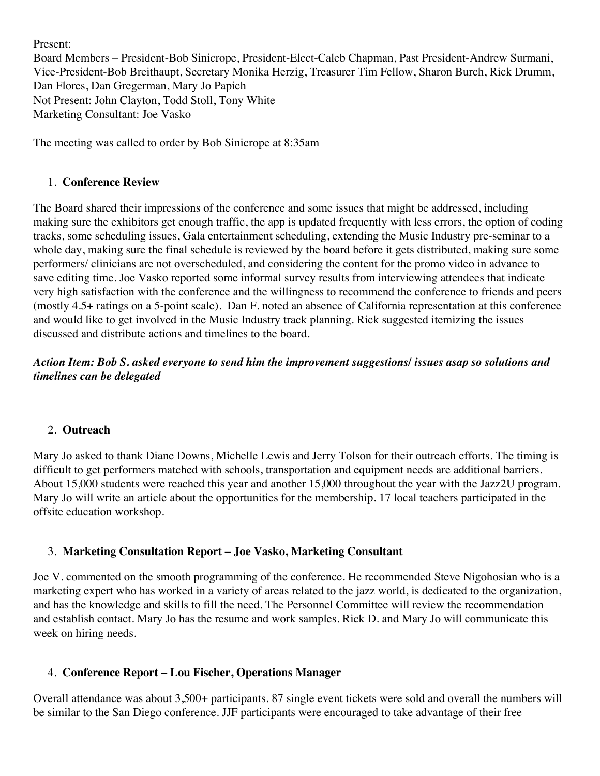Present:

Board Members – President-Bob Sinicrope, President-Elect-Caleb Chapman, Past President-Andrew Surmani, Vice-President-Bob Breithaupt, Secretary Monika Herzig, Treasurer Tim Fellow, Sharon Burch, Rick Drumm, Dan Flores, Dan Gregerman, Mary Jo Papich Not Present: John Clayton, Todd Stoll, Tony White Marketing Consultant: Joe Vasko

The meeting was called to order by Bob Sinicrope at 8:35am

#### 1. **Conference Review**

The Board shared their impressions of the conference and some issues that might be addressed, including making sure the exhibitors get enough traffic, the app is updated frequently with less errors, the option of coding tracks, some scheduling issues, Gala entertainment scheduling, extending the Music Industry pre-seminar to a whole day, making sure the final schedule is reviewed by the board before it gets distributed, making sure some performers/ clinicians are not overscheduled, and considering the content for the promo video in advance to save editing time. Joe Vasko reported some informal survey results from interviewing attendees that indicate very high satisfaction with the conference and the willingness to recommend the conference to friends and peers (mostly 4.5+ ratings on a 5-point scale). Dan F. noted an absence of California representation at this conference and would like to get involved in the Music Industry track planning. Rick suggested itemizing the issues discussed and distribute actions and timelines to the board.

# *Action Item: Bob S. asked everyone to send him the improvement suggestions/ issues asap so solutions and timelines can be delegated*

#### 2. **Outreach**

Mary Jo asked to thank Diane Downs, Michelle Lewis and Jerry Tolson for their outreach efforts. The timing is difficult to get performers matched with schools, transportation and equipment needs are additional barriers. About 15,000 students were reached this year and another 15,000 throughout the year with the Jazz2U program. Mary Jo will write an article about the opportunities for the membership. 17 local teachers participated in the offsite education workshop.

## 3. **Marketing Consultation Report – Joe Vasko, Marketing Consultant**

Joe V. commented on the smooth programming of the conference. He recommended Steve Nigohosian who is a marketing expert who has worked in a variety of areas related to the jazz world, is dedicated to the organization, and has the knowledge and skills to fill the need. The Personnel Committee will review the recommendation and establish contact. Mary Jo has the resume and work samples. Rick D. and Mary Jo will communicate this week on hiring needs.

## 4. **Conference Report – Lou Fischer, Operations Manager**

Overall attendance was about 3,500+ participants. 87 single event tickets were sold and overall the numbers will be similar to the San Diego conference. JJF participants were encouraged to take advantage of their free